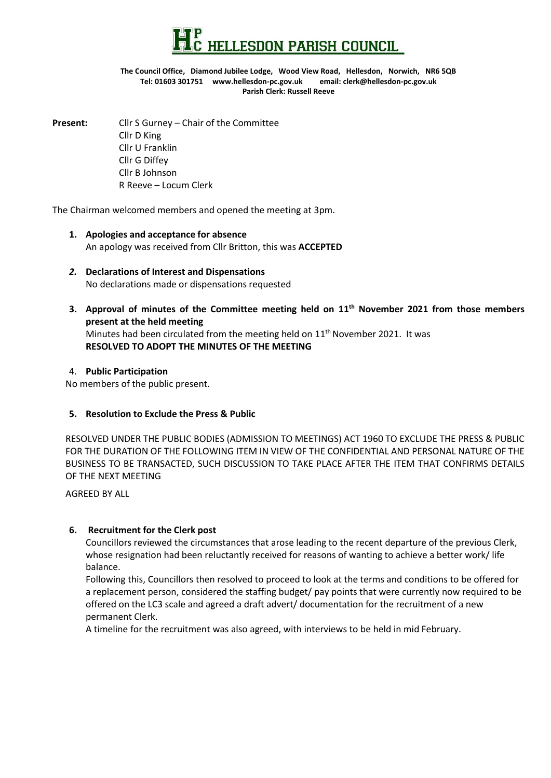

#### **The Council Office, Diamond Jubilee Lodge, Wood View Road, Hellesdon, Norwich, NR6 5QB Tel: 01603 301751 www.hellesdon-pc.gov.uk email: clerk[@hellesdon-pc.gov.uk](mailto:hellesdonpc@tiscali.co.uk) Parish Clerk: Russell Reeve**

**Present:** Cllr S Gurney – Chair of the Committee Cllr D King Cllr U Franklin Cllr G Diffey Cllr B Johnson R Reeve – Locum Clerk

The Chairman welcomed members and opened the meeting at 3pm.

- **1. Apologies and acceptance for absence** An apology was received from Cllr Britton, this was **ACCEPTED**
- *2.* **Declarations of Interest and Dispensations** No declarations made or dispensations requested
- **3. Approval of minutes of the Committee meeting held on 11th November 2021 from those members present at the held meeting** Minutes had been circulated from the meeting held on 11<sup>th</sup> November 2021. It was **RESOLVED TO ADOPT THE MINUTES OF THE MEETING**

### 4. **Public Participation**

No members of the public present.

### **5. Resolution to Exclude the Press & Public**

RESOLVED UNDER THE PUBLIC BODIES (ADMISSION TO MEETINGS) ACT 1960 TO EXCLUDE THE PRESS & PUBLIC FOR THE DURATION OF THE FOLLOWING ITEM IN VIEW OF THE CONFIDENTIAL AND PERSONAL NATURE OF THE BUSINESS TO BE TRANSACTED, SUCH DISCUSSION TO TAKE PLACE AFTER THE ITEM THAT CONFIRMS DETAILS OF THE NEXT MEETING

AGREED BY ALL

## **6. Recruitment for the Clerk post**

Councillors reviewed the circumstances that arose leading to the recent departure of the previous Clerk, whose resignation had been reluctantly received for reasons of wanting to achieve a better work/ life balance.

Following this, Councillors then resolved to proceed to look at the terms and conditions to be offered for a replacement person, considered the staffing budget/ pay points that were currently now required to be offered on the LC3 scale and agreed a draft advert/ documentation for the recruitment of a new permanent Clerk.

A timeline for the recruitment was also agreed, with interviews to be held in mid February.